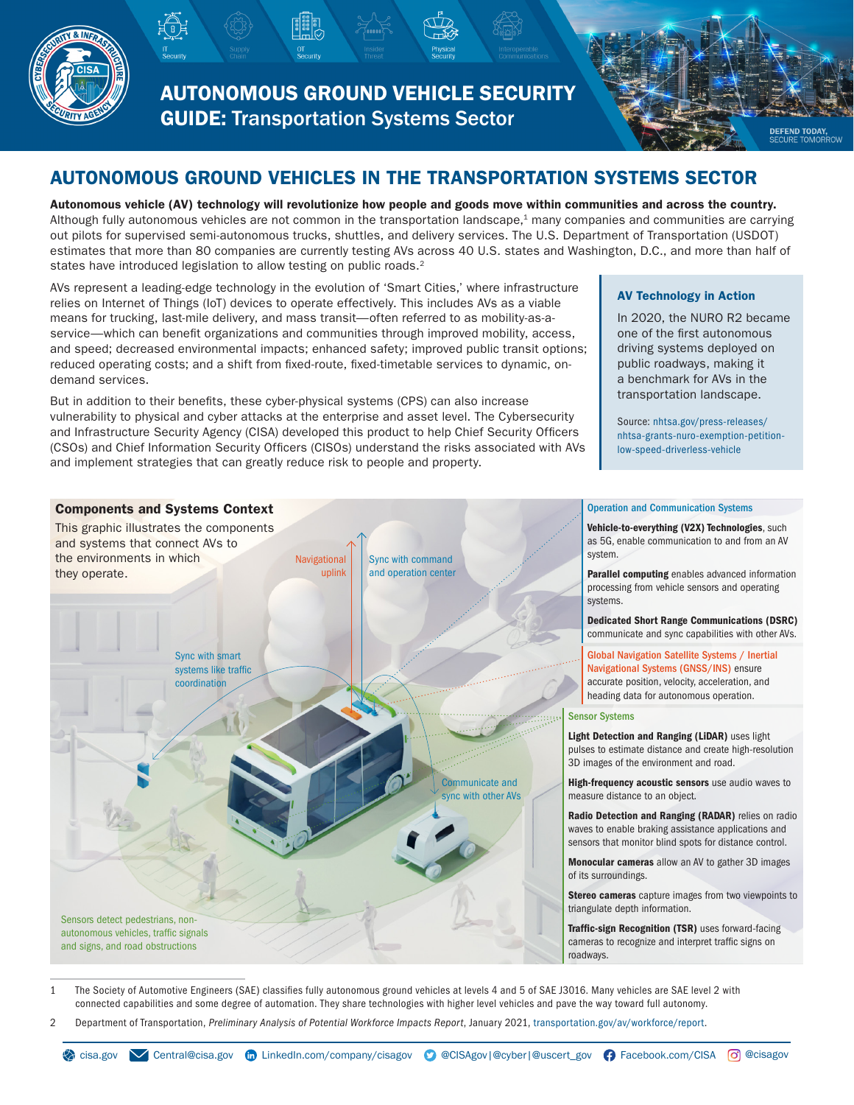

AUTONOMOUS GROUND VEHICLE SECURITY GUIDE: Transportation Systems Sector

**DEFEND TODAY**<br>SECURE TOMOR

# AUTONOMOUS GROUND VEHICLES IN THE TRANSPORTATION SYSTEMS SECTOR

Autonomous vehicle (AV) technology will revolutionize how people and goods move within communities and across the country. Although fully autonomous vehicles are not common in the transportation landscape, $<sup>1</sup>$  many companies and communities are carrying</sup> out pilots for supervised semi-autonomous trucks, shuttles, and delivery services. The U.S. Department of Transportation (USDOT) estimates that more than 80 companies are currently testing AVs across 40 U.S. states and Washington, D.C., and more than half of states have introduced legislation to allow testing on public roads.<sup>2</sup>

AVs represent a leading-edge technology in the evolution of 'Smart Cities,' where infrastructure relies on Internet of Things (IoT) devices to operate effectively. This includes AVs as a viable means for trucking, last-mile delivery, and mass transit—often referred to as mobility-as-aservice—which can benefit organizations and communities through improved mobility, access, and speed; decreased environmental impacts; enhanced safety; improved public transit options; reduced operating costs; and a shift from fixed-route, fixed-timetable services to dynamic, ondemand services.

But in addition to their benefits, these cyber-physical systems (CPS) can also increase vulnerability to physical and cyber attacks at the enterprise and asset level. The Cybersecurity and Infrastructure Security Agency (CISA) developed this product to help Chief Security Officers (CSOs) and Chief Information Security Officers (CISOs) understand the risks associated with AVs and implement strategies that can greatly reduce risk to people and property.

#### AV Technology in Action

In 2020, the NURO R2 became one of the first autonomous driving systems deployed on public roadways, making it a benchmark for AVs in the transportation landscape.

Source: [nhtsa.gov/press-releases/](https://www.nhtsa.gov/press-releases/nhtsa-grants-nuro-exemption-petition-low-speed-driverless-vehicle) [nhtsa-grants-nuro-exemption-petition](https://www.nhtsa.gov/press-releases/nhtsa-grants-nuro-exemption-petition-low-speed-driverless-vehicle)[low-speed-driverless-vehicle](https://www.nhtsa.gov/press-releases/nhtsa-grants-nuro-exemption-petition-low-speed-driverless-vehicle)



1 The Society of Automotive Engineers (SAE) classifies fully autonomous ground vehicles at levels 4 and 5 of SAE J3016. Many vehicles are SAE level 2 with connected capabilities and some degree of automation. They share technologies with higher level vehicles and pave the way toward full autonomy.

2 Department of Transportation, *Preliminary Analysis of Potential Workforce Impacts Report*, January 2021, [transportation.gov/av/workforce/report](http://www.transportation.gov/av/workforce/report).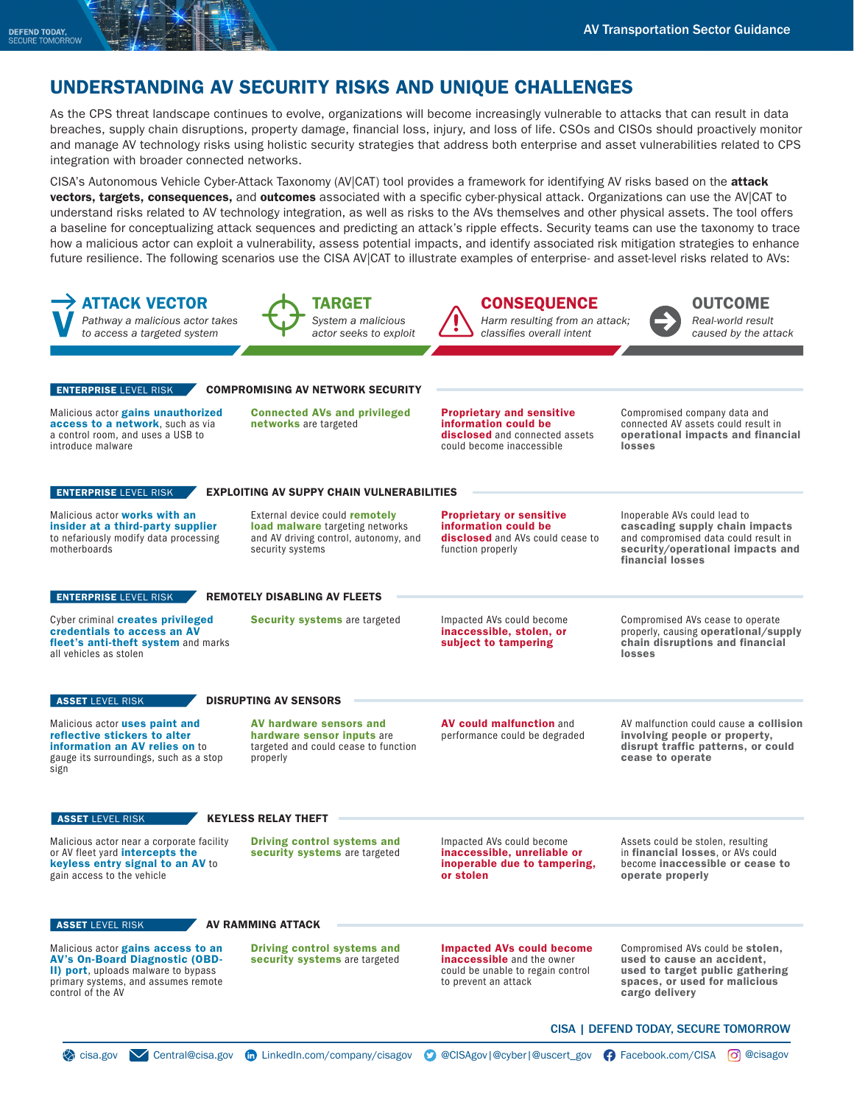### UNDERSTANDING AV SECURITY RISKS AND UNIQUE CHALLENGES

As the CPS threat landscape continues to evolve, organizations will become increasingly vulnerable to attacks that can result in data breaches, supply chain disruptions, property damage, financial loss, injury, and loss of life. CSOs and CISOs should proactively monitor and manage AV technology risks using holistic security strategies that address both enterprise and asset vulnerabilities related to CPS integration with broader connected networks.

CISA's Autonomous Vehicle Cyber-Attack Taxonomy (AV|CAT) tool provides a framework for identifying AV risks based on the attack vectors, targets, consequences, and outcomes associated with a specific cyber-physical attack. Organizations can use the AV|CAT to understand risks related to AV technology integration, as well as risks to the AVs themselves and other physical assets. The tool offers a baseline for conceptualizing attack sequences and predicting an attack's ripple effects. Security teams can use the taxonomy to trace how a malicious actor can exploit a vulnerability, assess potential impacts, and identify associated risk mitigation strategies to enhance future resilience. The following scenarios use the CISA AV|CAT to illustrate examples of enterprise- and asset-level risks related to AVs:

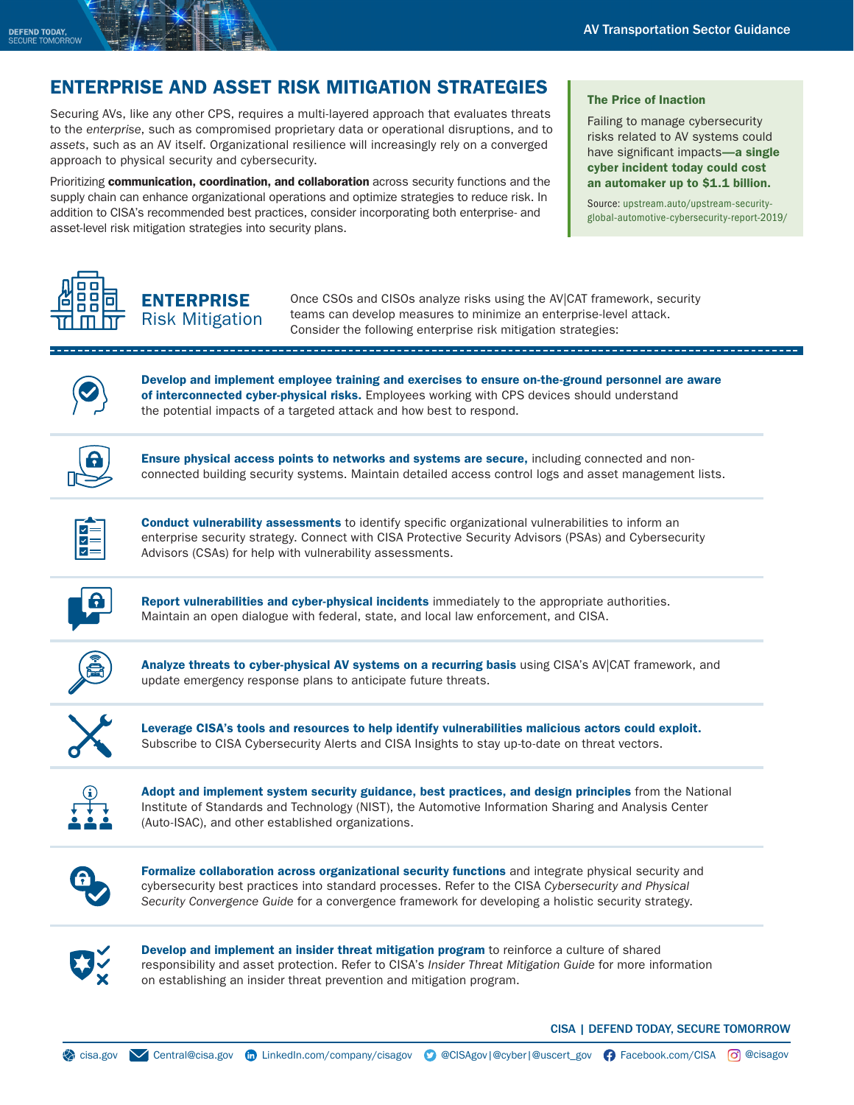# ENTERPRISE AND ASSET RISK MITIGATION STRATEGIES

Securing AVs, like any other CPS, requires a multi-layered approach that evaluates threats to the *enterprise*, such as compromised proprietary data or operational disruptions, and to *assets*, such as an AV itself. Organizational resilience will increasingly rely on a converged approach to physical security and cybersecurity.

Prioritizing communication, coordination, and collaboration across security functions and the supply chain can enhance organizational operations and optimize strategies to reduce risk. In addition to CISA's recommended best practices, consider incorporating both enterprise- and asset-level risk mitigation strategies into security plans.

#### The Price of Inaction

Failing to manage cybersecurity risks related to AV systems could have significant impacts-a single cyber incident today could cost an automaker up to \$1.1 billion.

Source: [upstream.auto/upstream-security](https://upstream.auto/upstream-security-global-automotive-cybersecurity-report-2019/)[global-automotive-cybersecurity-report-2019/](https://upstream.auto/upstream-security-global-automotive-cybersecurity-report-2019/)



**ENTERPRISE** Risk Mitigation

Once CSOs and CISOs analyze risks using the AV|CAT framework, security teams can develop measures to minimize an enterprise-level attack. Consider the following enterprise risk mitigation strategies:



Develop and implement employee training and exercises to ensure on-the-ground personnel are aware of interconnected cyber-physical risks. Employees working with CPS devices should understand the potential impacts of a targeted attack and how best to respond.



Ensure physical access points to networks and systems are secure, including connected and nonconnected building security systems. Maintain detailed access control logs and asset management lists.



**Conduct vulnerability assessments** to identify specific organizational vulnerabilities to inform an enterprise security strategy. Connect with CISA Protective Security Advisors (PSAs) and Cybersecurity Advisors (CSAs) for help with vulnerability assessments.



Report vulnerabilities and cyber-physical incidents immediately to the appropriate authorities. Maintain an open dialogue with federal, state, and local law enforcement, and CISA.



Analyze threats to cyber-physical AV systems on a recurring basis using CISA's AV|CAT framework, and update emergency response plans to anticipate future threats.



Leverage CISA's tools and resources to help identify vulnerabilities malicious actors could exploit. Subscribe to CISA Cybersecurity Alerts and CISA Insights to stay up-to-date on threat vectors.



Adopt and implement system security guidance, best practices, and design principles from the National Institute of Standards and Technology (NIST), the Automotive Information Sharing and Analysis Center (Auto-ISAC), and other established organizations.



Formalize collaboration across organizational security functions and integrate physical security and cybersecurity best practices into standard processes. Refer to the CISA *Cybersecurity and Physical Security Convergence Guide* for a convergence framework for developing a holistic security strategy.



Develop and implement an insider threat mitigation program to reinforce a culture of shared responsibility and asset protection. Refer to CISA's *Insider Threat Mitigation Guide* for more information on establishing an insider threat prevention and mitigation program.

CISA | DEFEND TODAY, SECURE TOMORROW